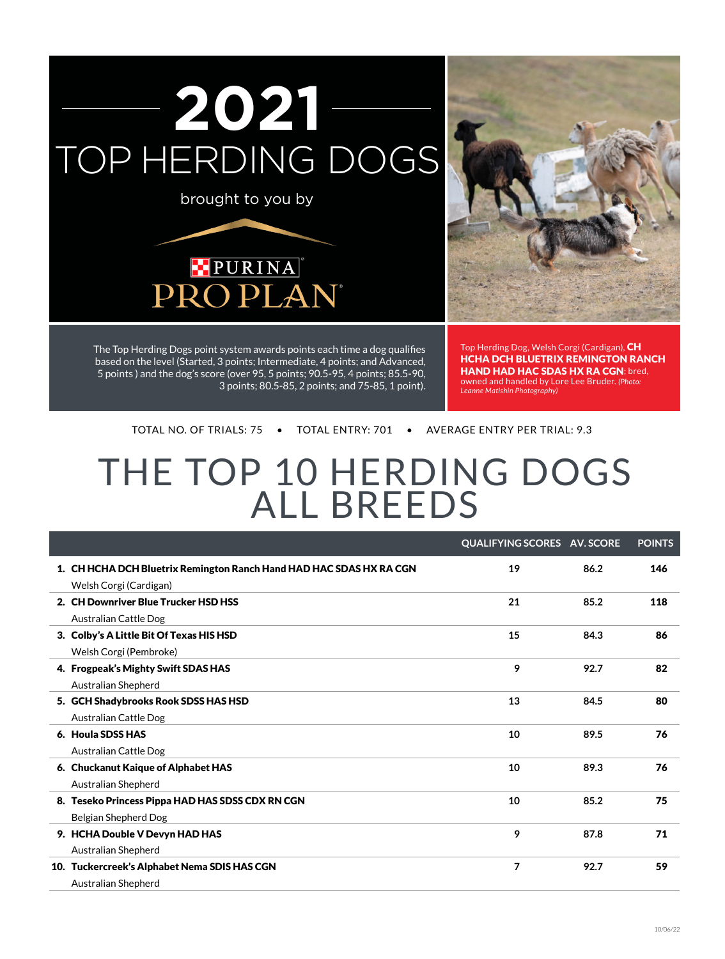





The Top Herding Dogs point system awards points each time a dog qualifies based on the level (Started, 3 points; Intermediate, 4 points; and Advanced, 5 points ) and the dog's score (over 95, 5 points; 90.5-95, 4 points; 85.5-90, 3 points; 80.5-85, 2 points; and 75-85, 1 point). Top Herding Dog, Welsh Corgi (Cardigan), CH HCHA DCH Bluetrix Remington Ranch HAND HAD HAC SDAS HX RA CGN; bred, owned and handled by Lore Lee Bruder. *(Photo: Leanne Matishin Photography)*

Total No. of Trials: 75 • Total Entry: 701 • Average Entry per Trial: 9.3

# THE TOP 10 HERDING DOGS ALL BREEDS

|                                                                                               | <b>QUALIFYING SCORES AV. SCORE</b> |      | <b>POINTS</b> |
|-----------------------------------------------------------------------------------------------|------------------------------------|------|---------------|
| 1. CH HCHA DCH Bluetrix Remington Ranch Hand HAD HAC SDAS HX RA CGN<br>Welsh Corgi (Cardigan) | 19                                 | 86.2 | 146           |
| 2. CH Downriver Blue Trucker HSD HSS                                                          | 21                                 | 85.2 | 118           |
| Australian Cattle Dog                                                                         |                                    |      |               |
| 3. Colby's A Little Bit Of Texas HIS HSD                                                      | 15                                 | 84.3 | 86            |
| Welsh Corgi (Pembroke)                                                                        |                                    |      |               |
| 4. Frogpeak's Mighty Swift SDAS HAS                                                           | 9                                  | 92.7 | 82            |
| Australian Shepherd                                                                           |                                    |      |               |
| 5. GCH Shadybrooks Rook SDSS HAS HSD                                                          | 13                                 | 84.5 | 80            |
| Australian Cattle Dog                                                                         |                                    |      |               |
| 6. Houla SDSS HAS                                                                             | 10                                 | 89.5 | 76            |
| <b>Australian Cattle Dog</b>                                                                  |                                    |      |               |
| 6. Chuckanut Kaique of Alphabet HAS                                                           | 10                                 | 89.3 | 76            |
| Australian Shepherd                                                                           |                                    |      |               |
| 8. Teseko Princess Pippa HAD HAS SDSS CDX RN CGN                                              | 10                                 | 85.2 | 75            |
| Belgian Shepherd Dog                                                                          |                                    |      |               |
| 9. HCHA Double V Devyn HAD HAS                                                                | 9                                  | 87.8 | 71            |
| Australian Shepherd                                                                           |                                    |      |               |
| 10. Tuckercreek's Alphabet Nema SDIS HAS CGN                                                  | $\overline{7}$                     | 92.7 | 59            |
| Australian Shepherd                                                                           |                                    |      |               |